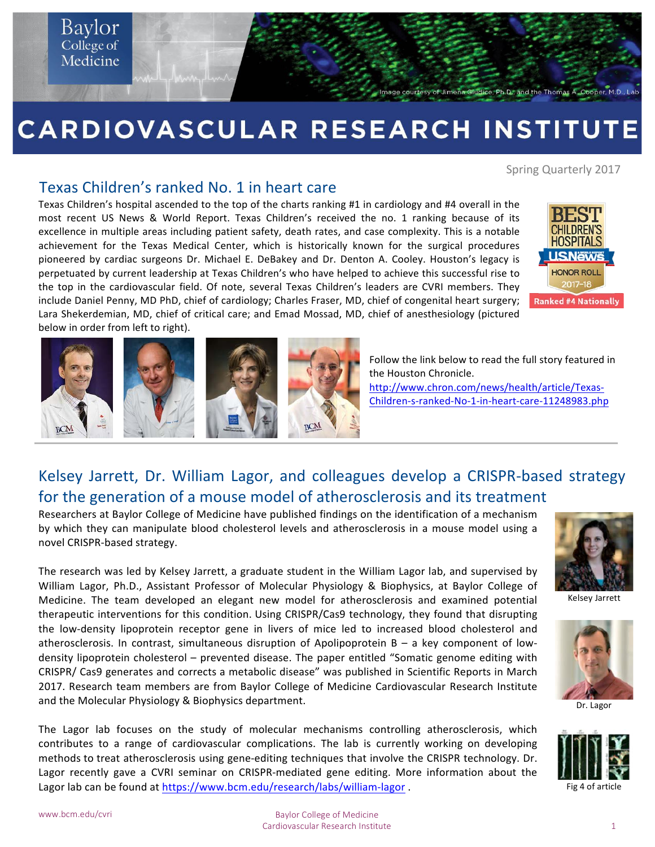

# CARDIOVASCULAR RESEARCH INSTITUTE

Spring Quarterly 2017

#### Texas Children's ranked No. 1 in heart care

Texas Children's hospital ascended to the top of the charts ranking #1 in cardiology and #4 overall in the most recent US News & World Report. Texas Children's received the no. 1 ranking because of its excellence in multiple areas including patient safety, death rates, and case complexity. This is a notable achievement for the Texas Medical Center, which is historically known for the surgical procedures pioneered by cardiac surgeons Dr. Michael E. DeBakey and Dr. Denton A. Cooley. Houston's legacy is perpetuated by current leadership at Texas Children's who have helped to achieve this successful rise to the top in the cardiovascular field. Of note, several Texas Children's leaders are CVRI members. They include Daniel Penny, MD PhD, chief of cardiology; Charles Fraser, MD, chief of congenital heart surgery; Lara Shekerdemian, MD, chief of critical care; and Emad Mossad, MD, chief of anesthesiology (pictured below in order from left to right).





Follow the link below to read the full story featured in the Houston Chronicle.

http://www.chron.com/news/health/article/Texas-Children-s-ranked-No-1-in-heart-care-11248983.php

### Kelsey Jarrett, Dr. William Lagor, and colleagues develop a CRISPR-based strategy for the generation of a mouse model of atherosclerosis and its treatment

Researchers at Baylor College of Medicine have published findings on the identification of a mechanism by which they can manipulate blood cholesterol levels and atherosclerosis in a mouse model using a novel CRISPR-based strategy.

The research was led by Kelsey Jarrett, a graduate student in the William Lagor lab, and supervised by William Lagor, Ph.D., Assistant Professor of Molecular Physiology & Biophysics, at Baylor College of Medicine. The team developed an elegant new model for atherosclerosis and examined potential therapeutic interventions for this condition. Using CRISPR/Cas9 technology, they found that disrupting the low-density lipoprotein receptor gene in livers of mice led to increased blood cholesterol and atherosclerosis. In contrast, simultaneous disruption of Apolipoprotein  $B - a$  key component of lowdensity lipoprotein cholesterol – prevented disease. The paper entitled "Somatic genome editing with CRISPR/ Cas9 generates and corrects a metabolic disease" was published in Scientific Reports in March 2017. Research team members are from Baylor College of Medicine Cardiovascular Research Institute and the Molecular Physiology & Biophysics department.

The Lagor lab focuses on the study of molecular mechanisms controlling atherosclerosis, which contributes to a range of cardiovascular complications. The lab is currently working on developing methods to treat atherosclerosis using gene-editing techniques that involve the CRISPR technology. Dr. Lagor recently gave a CVRI seminar on CRISPR-mediated gene editing. More information about the Lagor lab can be found at https://www.bcm.edu/research/labs/william-lagor . The manner of the 4 of article



Kelsey Jarrett



Dr. Lagor

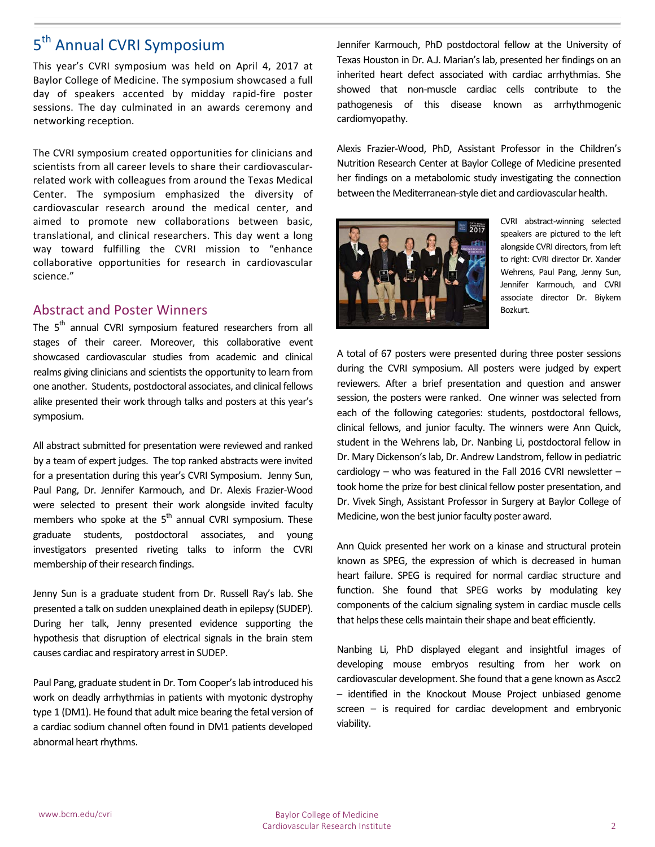### 5<sup>th</sup> Annual CVRI Symposium

This year's CVRI symposium was held on April 4, 2017 at Baylor College of Medicine. The symposium showcased a full day of speakers accented by midday rapid-fire poster sessions. The day culminated in an awards ceremony and networking reception.

The CVRI symposium created opportunities for clinicians and scientists from all career levels to share their cardiovascularrelated work with colleagues from around the Texas Medical Center. The symposium emphasized the diversity of cardiovascular research around the medical center, and aimed to promote new collaborations between basic, translational, and clinical researchers. This day went a long way toward fulfilling the CVRI mission to "enhance collaborative opportunities for research in cardiovascular science."

#### **Abstract and Poster Winners**

The 5<sup>th</sup> annual CVRI symposium featured researchers from all stages of their career. Moreover, this collaborative event showcased cardiovascular studies from academic and clinical realms giving clinicians and scientists the opportunity to learn from one another. Students, postdoctoral associates, and clinical fellows alike presented their work through talks and posters at this year's symposium. 

All abstract submitted for presentation were reviewed and ranked by a team of expert judges. The top ranked abstracts were invited for a presentation during this year's CVRI Symposium. Jenny Sun, Paul Pang, Dr. Jennifer Karmouch, and Dr. Alexis Frazier-Wood were selected to present their work alongside invited faculty members who spoke at the  $5<sup>th</sup>$  annual CVRI symposium. These graduate students, postdoctoral associates, and young investigators presented riveting talks to inform the CVRI membership of their research findings.

Jenny Sun is a graduate student from Dr. Russell Ray's lab. She presented a talk on sudden unexplained death in epilepsy (SUDEP). During her talk, Jenny presented evidence supporting the hypothesis that disruption of electrical signals in the brain stem causes cardiac and respiratory arrest in SUDEP.

Paul Pang, graduate student in Dr. Tom Cooper's lab introduced his work on deadly arrhythmias in patients with myotonic dystrophy type 1 (DM1). He found that adult mice bearing the fetal version of a cardiac sodium channel often found in DM1 patients developed abnormal heart rhythms.

Jennifer Karmouch, PhD postdoctoral fellow at the University of Texas Houston in Dr. A.J. Marian's lab, presented her findings on an inherited heart defect associated with cardiac arrhythmias. She showed that non-muscle cardiac cells contribute to the pathogenesis of this disease known as arrhythmogenic cardiomyopathy.

Alexis Frazier-Wood, PhD, Assistant Professor in the Children's Nutrition Research Center at Baylor College of Medicine presented her findings on a metabolomic study investigating the connection between the Mediterranean-style diet and cardiovascular health.



CVRI abstract-winning selected speakers are pictured to the left alongside CVRI directors, from left to right: CVRI director Dr. Xander Wehrens, Paul Pang, Jenny Sun, Jennifer Karmouch, and CVRI associate director Dr. Biykem Bozkurt.

A total of 67 posters were presented during three poster sessions during the CVRI symposium. All posters were judged by expert reviewers. After a brief presentation and question and answer session, the posters were ranked. One winner was selected from each of the following categories: students, postdoctoral fellows, clinical fellows, and junior faculty. The winners were Ann Quick, student in the Wehrens lab, Dr. Nanbing Li, postdoctoral fellow in Dr. Mary Dickenson's lab, Dr. Andrew Landstrom, fellow in pediatric cardiology – who was featured in the Fall 2016 CVRI newsletter – took home the prize for best clinical fellow poster presentation, and Dr. Vivek Singh, Assistant Professor in Surgery at Baylor College of Medicine, won the best junior faculty poster award.

Ann Quick presented her work on a kinase and structural protein known as SPEG, the expression of which is decreased in human heart failure. SPEG is required for normal cardiac structure and function. She found that SPEG works by modulating key components of the calcium signaling system in cardiac muscle cells that helps these cells maintain their shape and beat efficiently.

Nanbing Li, PhD displayed elegant and insightful images of developing mouse embryos resulting from her work on cardiovascular development. She found that a gene known as Ascc2 - identified in the Knockout Mouse Project unbiased genome screen  $-$  is required for cardiac development and embryonic viability.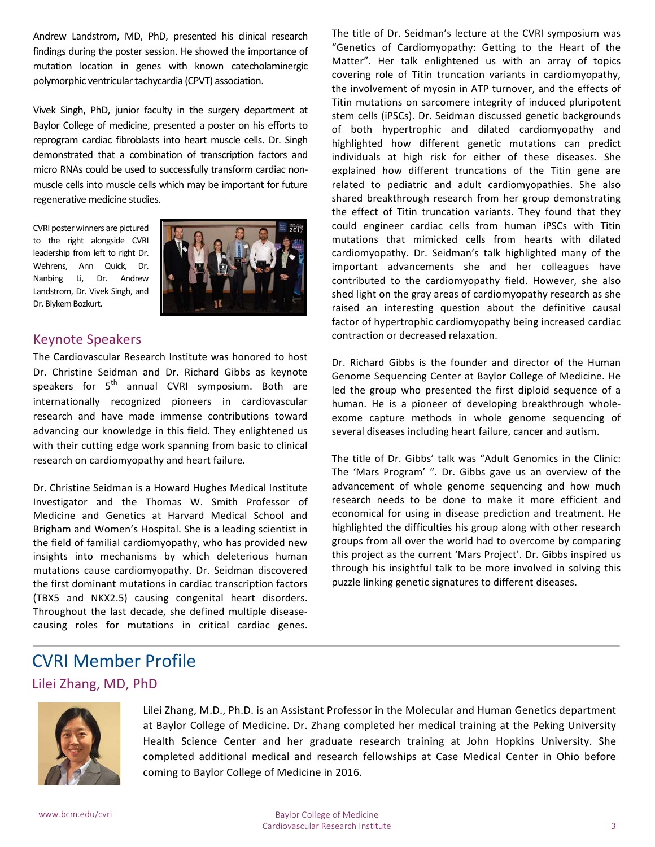Andrew Landstrom, MD, PhD, presented his clinical research findings during the poster session. He showed the importance of mutation location in genes with known catecholaminergic polymorphic ventricular tachycardia (CPVT) association.

Vivek Singh, PhD, junior faculty in the surgery department at Baylor College of medicine, presented a poster on his efforts to reprogram cardiac fibroblasts into heart muscle cells. Dr. Singh demonstrated that a combination of transcription factors and micro RNAs could be used to successfully transform cardiac nonmuscle cells into muscle cells which may be important for future regenerative medicine studies.

CVRI poster winners are pictured to the right alongside CVRI leadership from left to right Dr. Wehrens, Ann Quick, Dr. Nanbing Li, Dr. Andrew Landstrom, Dr. Vivek Singh, and Dr. Biykem Bozkurt.



#### Keynote Speakers

The Cardiovascular Research Institute was honored to host Dr. Christine Seidman and Dr. Richard Gibbs as keynote speakers for  $5<sup>th</sup>$  annual CVRI symposium. Both are internationally recognized pioneers in cardiovascular research and have made immense contributions toward advancing our knowledge in this field. They enlightened us with their cutting edge work spanning from basic to clinical research on cardiomyopathy and heart failure.

Dr. Christine Seidman is a Howard Hughes Medical Institute Investigator and the Thomas W. Smith Professor of Medicine and Genetics at Harvard Medical School and Brigham and Women's Hospital. She is a leading scientist in the field of familial cardiomyopathy, who has provided new insights into mechanisms by which deleterious human mutations cause cardiomyopathy. Dr. Seidman discovered the first dominant mutations in cardiac transcription factors (TBX5 and NKX2.5) causing congenital heart disorders. Throughout the last decade, she defined multiple diseasecausing roles for mutations in critical cardiac genes. The title of Dr. Seidman's lecture at the CVRI symposium was "Genetics of Cardiomyopathy: Getting to the Heart of the Matter". Her talk enlightened us with an array of topics covering role of Titin truncation variants in cardiomyopathy, the involvement of myosin in ATP turnover, and the effects of Titin mutations on sarcomere integrity of induced pluripotent stem cells (iPSCs). Dr. Seidman discussed genetic backgrounds of both hypertrophic and dilated cardiomyopathy and highlighted how different genetic mutations can predict individuals at high risk for either of these diseases. She explained how different truncations of the Titin gene are related to pediatric and adult cardiomyopathies. She also shared breakthrough research from her group demonstrating the effect of Titin truncation variants. They found that they could engineer cardiac cells from human iPSCs with Titin mutations that mimicked cells from hearts with dilated cardiomyopathy. Dr. Seidman's talk highlighted many of the important advancements she and her colleagues have contributed to the cardiomyopathy field. However, she also shed light on the gray areas of cardiomyopathy research as she raised an interesting question about the definitive causal factor of hypertrophic cardiomyopathy being increased cardiac contraction or decreased relaxation.

Dr. Richard Gibbs is the founder and director of the Human Genome Sequencing Center at Baylor College of Medicine. He led the group who presented the first diploid sequence of a human. He is a pioneer of developing breakthrough wholeexome capture methods in whole genome sequencing of several diseases including heart failure, cancer and autism.

The title of Dr. Gibbs' talk was "Adult Genomics in the Clinic: The 'Mars Program' ". Dr. Gibbs gave us an overview of the advancement of whole genome sequencing and how much research needs to be done to make it more efficient and economical for using in disease prediction and treatment. He highlighted the difficulties his group along with other research groups from all over the world had to overcome by comparing this project as the current 'Mars Project'. Dr. Gibbs inspired us through his insightful talk to be more involved in solving this puzzle linking genetic signatures to different diseases.

## **CVRI Member Profile**

#### Lilei Zhang, MD, PhD



Lilei Zhang, M.D., Ph.D. is an Assistant Professor in the Molecular and Human Genetics department at Baylor College of Medicine. Dr. Zhang completed her medical training at the Peking University Health Science Center and her graduate research training at John Hopkins University. She completed additional medical and research fellowships at Case Medical Center in Ohio before coming to Baylor College of Medicine in 2016.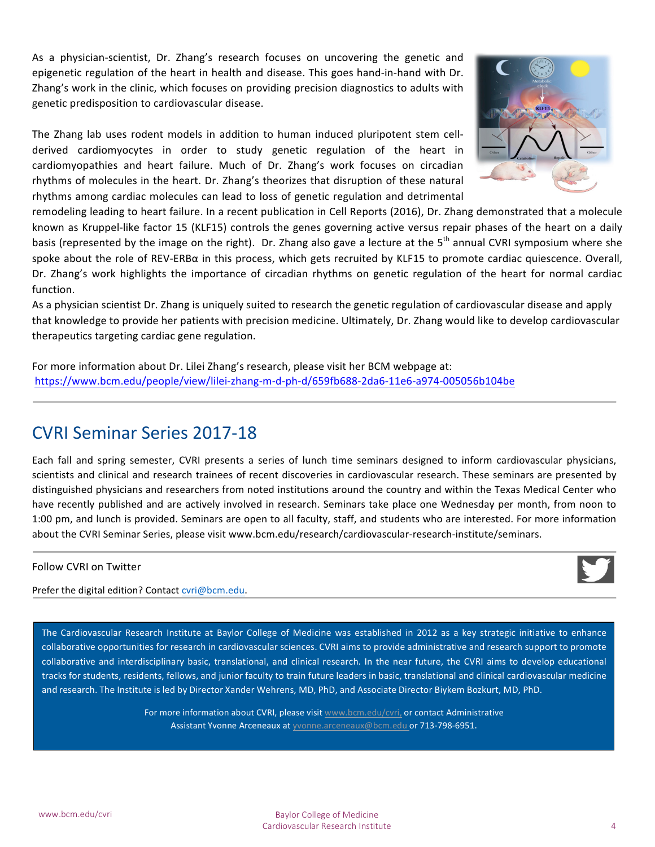As a physician-scientist, Dr. Zhang's research focuses on uncovering the genetic and epigenetic regulation of the heart in health and disease. This goes hand-in-hand with Dr. Zhang's work in the clinic, which focuses on providing precision diagnostics to adults with genetic predisposition to cardiovascular disease.

The Zhang lab uses rodent models in addition to human induced pluripotent stem cellderived cardiomyocytes in order to study genetic regulation of the heart in cardiomyopathies and heart failure. Much of Dr. Zhang's work focuses on circadian rhythms of molecules in the heart. Dr. Zhang's theorizes that disruption of these natural rhythms among cardiac molecules can lead to loss of genetic regulation and detrimental



As a physician scientist Dr. Zhang is uniquely suited to research the genetic regulation of cardiovascular disease and apply that knowledge to provide her patients with precision medicine. Ultimately, Dr. Zhang would like to develop cardiovascular therapeutics targeting cardiac gene regulation.

For more information about Dr. Lilei Zhang's research, please visit her BCM webpage at: https://www.bcm.edu/people/view/lilei-zhang-m-d-ph-d/659fb688-2da6-11e6-a974-005056b104be

### **CVRI Seminar Series 2017-18**

Each fall and spring semester, CVRI presents a series of lunch time seminars designed to inform cardiovascular physicians, scientists and clinical and research trainees of recent discoveries in cardiovascular research. These seminars are presented by distinguished physicians and researchers from noted institutions around the country and within the Texas Medical Center who have recently published and are actively involved in research. Seminars take place one Wednesday per month, from noon to 1:00 pm, and lunch is provided. Seminars are open to all faculty, staff, and students who are interested. For more information about the CVRI Seminar Series, please visit www.bcm.edu/research/cardiovascular-research-institute/seminars.

#### Follow CVRI on Twitter

Prefer the digital edition? Contact cvri@bcm.edu.

The Cardiovascular Research Institute at Baylor College of Medicine was established in 2012 as a key strategic initiative to enhance collaborative opportunities for research in cardiovascular sciences. CVRI aims to provide administrative and research support to promote collaborative and interdisciplinary basic, translational, and clinical research. In the near future, the CVRI aims to develop educational tracks for students, residents, fellows, and junior faculty to train future leaders in basic, translational and clinical cardiovascular medicine and research. The Institute is led by Director Xander Wehrens, MD, PhD, and Associate Director Biykem Bozkurt, MD, PhD.

> For more information about CVRI, please visit www.bcm.edu/cvri, or contact Administrative Assistant Yvonne Arceneaux at yvonne.arceneaux@bcm.edu or 713-798-6951.

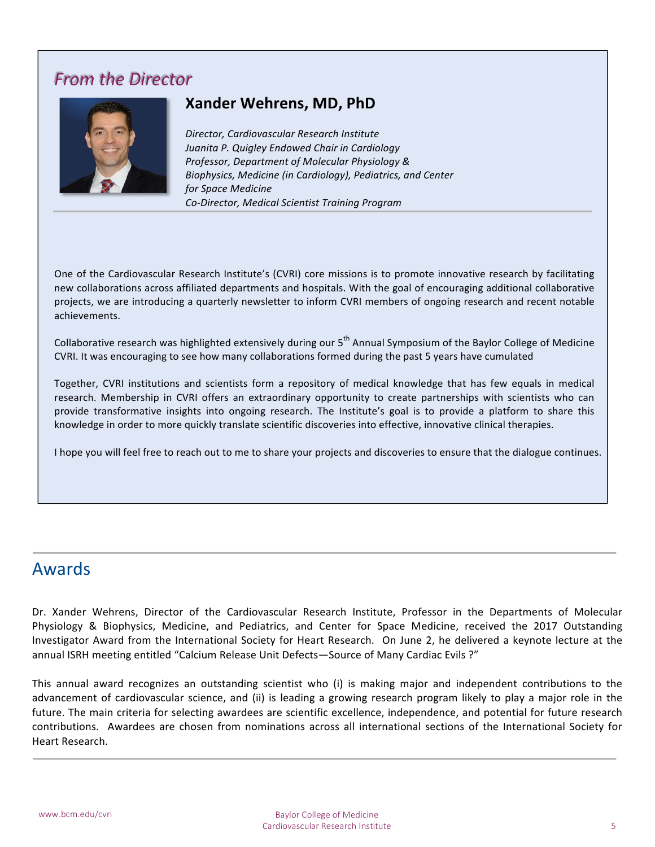### **From the Director**



### **Xander Wehrens, MD, PhD**

*Director, Cardiovascular Research Institute Juanita P. Quigley Endowed Chair in Cardiology Professor, Department of Molecular Physiology & Biophysics, Medicine (in Cardiology), Pediatrics, and Center for Space Medicine Co-Director, Medical Scientist Training Program*

One of the Cardiovascular Research Institute's (CVRI) core missions is to promote innovative research by facilitating new collaborations across affiliated departments and hospitals. With the goal of encouraging additional collaborative projects, we are introducing a quarterly newsletter to inform CVRI members of ongoing research and recent notable achievements.

Collaborative research was highlighted extensively during our 5<sup>th</sup> Annual Symposium of the Baylor College of Medicine CVRI. It was encouraging to see how many collaborations formed during the past 5 years have cumulated

Together, CVRI institutions and scientists form a repository of medical knowledge that has few equals in medical research. Membership in CVRI offers an extraordinary opportunity to create partnerships with scientists who can provide transformative insights into ongoing research. The Institute's goal is to provide a platform to share this knowledge in order to more quickly translate scientific discoveries into effective, innovative clinical therapies.

I hope you will feel free to reach out to me to share your projects and discoveries to ensure that the dialogue continues.

### Awards

Dr. Xander Wehrens, Director of the Cardiovascular Research Institute, Professor in the Departments of Molecular Physiology & Biophysics, Medicine, and Pediatrics, and Center for Space Medicine, received the 2017 Outstanding Investigator Award from the International Society for Heart Research. On June 2, he delivered a keynote lecture at the annual ISRH meeting entitled "Calcium Release Unit Defects—Source of Many Cardiac Evils ?"

This annual award recognizes an outstanding scientist who (i) is making major and independent contributions to the advancement of cardiovascular science, and (ii) is leading a growing research program likely to play a major role in the future. The main criteria for selecting awardees are scientific excellence, independence, and potential for future research contributions. Awardees are chosen from nominations across all international sections of the International Society for Heart Research.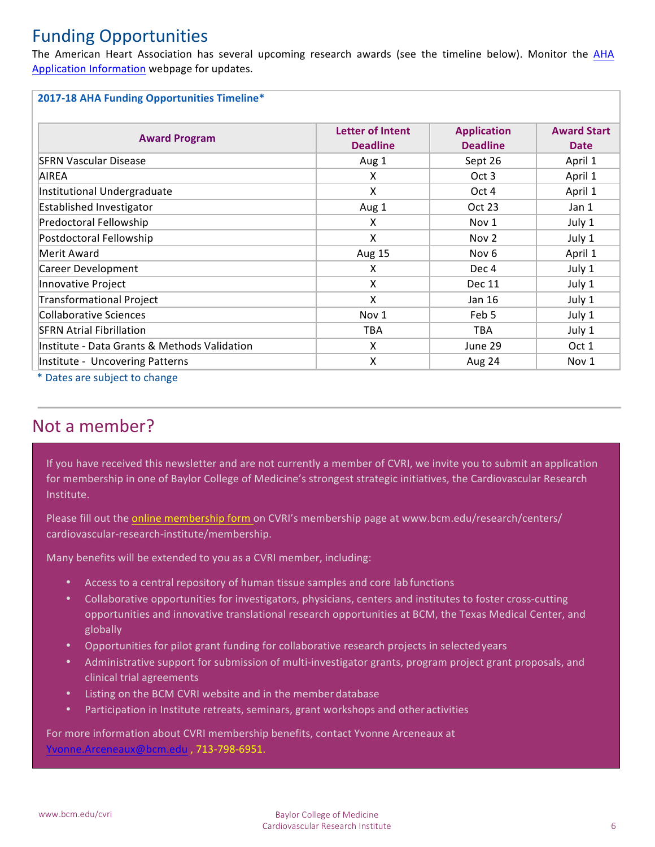### Funding Opportunities

The American Heart Association has several upcoming research awards (see the timeline below). Monitor the AHA Application Information webpage for updates.

#### **2017-18 AHA Funding Opportunities Timeline\***

| <b>Award Program</b>                         | Letter of Intent | <b>Application</b> | <b>Award Start</b> |
|----------------------------------------------|------------------|--------------------|--------------------|
|                                              | <b>Deadline</b>  | <b>Deadline</b>    | <b>Date</b>        |
| <b>SERN Vascular Disease</b>                 | Aug 1            | Sept 26            | April 1            |
| AIREA                                        | X                | Oct 3              | April 1            |
| Institutional Undergraduate                  | X                | Oct 4              | April 1            |
| Established Investigator                     | Aug 1            | Oct 23             | Jan 1              |
| Predoctoral Fellowship                       | X                | Nov 1              | July 1             |
| Postdoctoral Fellowship                      | X                | Nov <sub>2</sub>   | July 1             |
| Merit Award                                  | Aug 15           | Nov 6              | April 1            |
| Career Development                           | x                | Dec 4              | July 1             |
| Innovative Project                           | X                | Dec 11             | July 1             |
| Transformational Project                     | X                | Jan 16             | July 1             |
| Collaborative Sciences                       | Nov 1            | Feb 5              | July 1             |
| <b>SFRN Atrial Fibrillation</b>              | <b>TBA</b>       | <b>TBA</b>         | July 1             |
| Institute - Data Grants & Methods Validation | X                | June 29            | Oct 1              |
| Institute - Uncovering Patterns              | X                | Aug 24             | Nov 1              |

\* Dates are subject to change

### Not a member?

If you have received this newsletter and are not currently a member of CVRI, we invite you to submit an application for membership in one of Baylor College of Medicine's strongest strategic initiatives, the Cardiovascular Research Institute.

Please fill out the online membership form on CVRI's membership page at www.bcm.edu/research/centers/ cardiovascular-research-institute/membership.

Many benefits will be extended to you as a CVRI member, including:

- Access to a central repository of human tissue samples and core lab functions
- Collaborative opportunities for investigators, physicians, centers and institutes to foster cross-cutting opportunities and innovative translational research opportunities at BCM, the Texas Medical Center, and globally
- Opportunities for pilot grant funding for collaborative research projects in selectedyears
- $\bullet$  Administrative support for submission of multi-investigator grants, program project grant proposals, and clinical trial agreements
- Listing on the BCM CVRI website and in the member database
- Participation in Institute retreats, seminars, grant workshops and other activities

For more information about CVRI membership benefits, contact Yvonne Arceneaux at ne.Arceneaux@bcm.edu , 713-798-6951.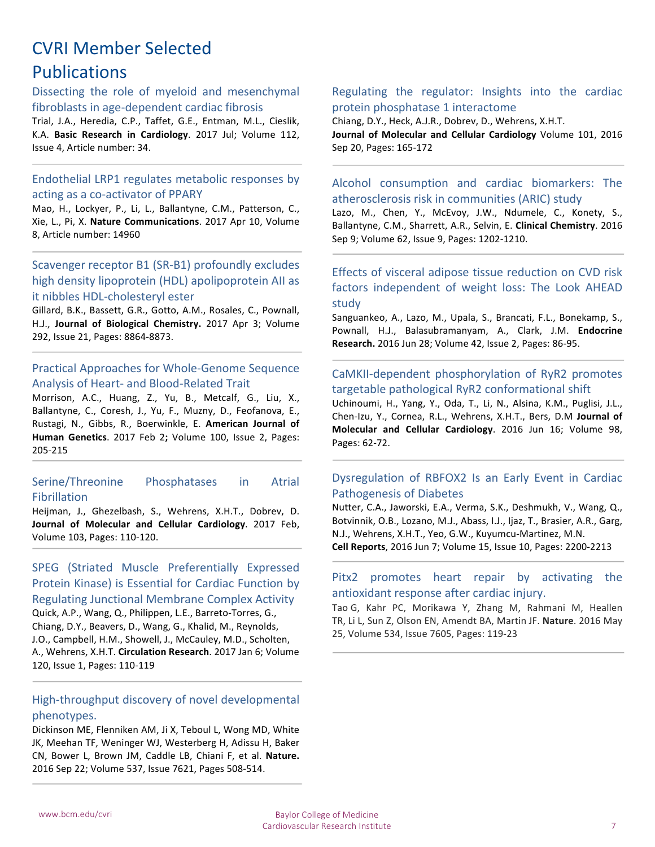## **CVRI Member Selected Publications**

Dissecting the role of myeloid and mesenchymal fibroblasts in age-dependent cardiac fibrosis

Trial, J.A., Heredia, C.P., Taffet, G.E., Entman, M.L., Cieslik, K.A. Basic Research in Cardiology. 2017 Jul; Volume 112, Issue 4, Article number: 34.

#### Endothelial LRP1 regulates metabolic responses by acting as a co-activator of PPARY

Mao, H., Lockyer, P., Li, L., Ballantyne, C.M., Patterson, C., Xie, L., Pi, X. Nature Communications. 2017 Apr 10, Volume 8, Article number: 14960

Scavenger receptor B1 (SR-B1) profoundly excludes high density lipoprotein (HDL) apolipoprotein AII as it nibbles HDL-cholesteryl ester

Gillard, B.K., Bassett, G.R., Gotto, A.M., Rosales, C., Pownall, H.J., **Journal of Biological Chemistry.** 2017 Apr 3; Volume 292, Issue 21, Pages: 8864-8873.

#### Practical Approaches for Whole-Genome Sequence Analysis of Heart- and Blood-Related Trait

Morrison, A.C., Huang, Z., Yu, B., Metcalf, G., Liu, X., Ballantyne, C., Coresh, J., Yu, F., Muzny, D., Feofanova, E., Rustagi, N., Gibbs, R., Boerwinkle, E. American Journal of Human Genetics. 2017 Feb 2; Volume 100, Issue 2, Pages: 205-215

#### Serine/Threonine Phosphatases in Atrial Fibrillation

Heijman, J., Ghezelbash, S., Wehrens, X.H.T., Dobrev, D. **Journal of Molecular and Cellular Cardiology**. 2017 Feb, Volume 103, Pages: 110-120.

SPEG (Striated Muscle Preferentially Expressed Protein Kinase) is Essential for Cardiac Function by **Regulating Junctional Membrane Complex Activity** 

Quick, A.P., Wang, Q., Philippen, L.E., Barreto-Torres, G., Chiang, D.Y., Beavers, D., Wang, G., Khalid, M., Reynolds, J.O., Campbell, H.M., Showell, J., McCauley, M.D., Scholten, A., Wehrens, X.H.T. Circulation Research. 2017 Jan 6; Volume 120, Issue 1, Pages: 110-119

#### High-throughput discovery of novel developmental phenotypes.

Dickinson ME, Flenniken AM, Ji X, Teboul L, Wong MD, White JK, Meehan TF, Weninger WJ, Westerberg H, Adissu H, Baker CN, Bower L, Brown JM, Caddle LB, Chiani F, et al. Nature. 2016 Sep 22; Volume 537, Issue 7621, Pages 508-514.

#### Regulating the regulator: Insights into the cardiac protein phosphatase 1 interactome

Chiang, D.Y., Heck, A.J.R., Dobrev, D., Wehrens, X.H.T. **Journal of Molecular and Cellular Cardiology** Volume 101, 2016 Sep 20, Pages: 165-172

#### Alcohol consumption and cardiac biomarkers: The atherosclerosis risk in communities (ARIC) study

Lazo, M., Chen, Y., McEvoy, J.W., Ndumele, C., Konety, S., Ballantyne, C.M., Sharrett, A.R., Selvin, E. Clinical Chemistry, 2016 Sep 9; Volume 62, Issue 9, Pages: 1202-1210.

#### Effects of visceral adipose tissue reduction on CVD risk factors independent of weight loss: The Look AHEAD study

Sanguankeo, A., Lazo, M., Upala, S., Brancati, F.L., Bonekamp, S., Pownall, H.J., Balasubramanyam, A., Clark, J.M. Endocrine **Research.** 2016 Jun 28; Volume 42, Issue 2, Pages: 86-95.

#### CaMKII-dependent phosphorylation of RyR2 promotes targetable pathological RyR2 conformational shift

Uchinoumi, H., Yang, Y., Oda, T., Li, N., Alsina, K.M., Puglisi, J.L., Chen-Izu, Y., Cornea, R.L., Wehrens, X.H.T., Bers, D.M Journal of **Molecular and Cellular Cardiology**. 2016 Jun 16; Volume 98, Pages: 62-72.

#### Dysregulation of RBFOX2 Is an Early Event in Cardiac Pathogenesis of Diabetes

Nutter, C.A., Jaworski, E.A., Verma, S.K., Deshmukh, V., Wang, Q., Botvinnik, O.B., Lozano, M.J., Abass, I.J., Ijaz, T., Brasier, A.R., Garg, N.J., Wehrens, X.H.T., Yeo, G.W., Kuyumcu-Martinez, M.N. **Cell Reports**, 2016 Jun 7; Volume 15, Issue 10, Pages: 2200-2213

#### Pitx2 promotes heart repair by activating the antioxidant response after cardiac injury.

Tao G, Kahr PC, Morikawa Y, Zhang M, Rahmani M, Heallen TR, Li L, Sun Z, Olson EN, Amendt BA, Martin JF. Nature. 2016 May 25, Volume 534, Issue 7605, Pages: 119-23